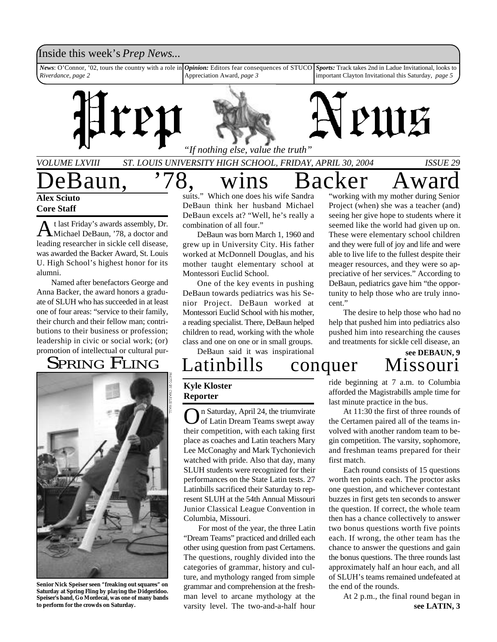## Inside this week's *Prep News*...

*News*: O'Connor, '02, tours the country with a role in *Riverdance*, *page 2 Opinion:* Editors fear consequences of STUCO Appreciation Award, *page 3 Sports:* Track takes 2nd in Ladue Invitational, looks to important Clayton Invitational this Saturday, *page 5*



eBaun. '78. wins Backer Award **Alex Sciuto**

### **Core Staff**

A t last Friday's awards assembly, Dr.<br>Michael DeBaun, '78, a doctor and t last Friday's awards assembly, Dr. leading researcher in sickle cell disease, was awarded the Backer Award, St. Louis U. High School's highest honor for its alumni.

Named after benefactors George and Anna Backer, the award honors a graduate of SLUH who has succeeded in at least one of four areas: "service to their family, their church and their fellow man; contributions to their business or profession; leadership in civic or social work; (or) promotion of intellectual or cultural pur-

## SPRING FLING



**Senior Nick Speiser seen "freaking out squares" on Saturday at Spring Fling by playing the Didgeridoo. Speiser's band, Go Mordecai, was one of many bands to perform for the crowds on Saturday.**

suits." Which one does his wife Sandra DeBaun think her husband Michael DeBaun excels at? "Well, he's really a combination of all four."

DeBaun was born March 1, 1960 and grew up in University City. His father worked at McDonnell Douglas, and his mother taught elementary school at Montessori Euclid School.

One of the key events in pushing DeBaun towards pediatrics was his Senior Project. DeBaun worked at Montessori Euclid School with his mother, a reading specialist. There, DeBaun helped children to read, working with the whole class and one on one or in small groups.

DeBaun said it was inspirational

Latinbills conquer Missouri

### **Kyle Kloster Reporter**

O n Saturday, April 24, the triumvirate of Latin Dream Teams swept away their competition, with each taking first place as coaches and Latin teachers Mary Lee McConaghy and Mark Tychonievich watched with pride. Also that day, many SLUH students were recognized for their performances on the State Latin tests. 27 Latinbills sacrificed their Saturday to represent SLUH at the 54th Annual Missouri Junior Classical League Convention in Columbia, Missouri.

For most of the year, the three Latin "Dream Teams" practiced and drilled each other using question from past Certamens. The questions, roughly divided into the categories of grammar, history and culture, and mythology ranged from simple grammar and comprehension at the freshman level to arcane mythology at the varsity level. The two-and-a-half hour

"working with my mother during Senior Project (when) she was a teacher (and) seeing her give hope to students where it seemed like the world had given up on. These were elementary school children and they were full of joy and life and were able to live life to the fullest despite their meager resources, and they were so appreciative of her services." According to DeBaun, pediatrics gave him "the opportunity to help those who are truly innocent."

The desire to help those who had no help that pushed him into pediatrics also pushed him into researching the causes and treatments for sickle cell disease, an

# **see DEBAUN, 9**

ride beginning at 7 a.m. to Columbia afforded the Magistrabills ample time for last minute practice in the bus.

At 11:30 the first of three rounds of the Certamen paired all of the teams involved with another random team to begin competition. The varsity, sophomore, and freshman teams prepared for their first match.

Each round consists of 15 questions worth ten points each. The proctor asks one question, and whichever contestant buzzes in first gets ten seconds to answer the question. If correct, the whole team then has a chance collectively to answer two bonus questions worth five points each. If wrong, the other team has the chance to answer the questions and gain the bonus questions. The three rounds last approximately half an hour each, and all of SLUH's teams remained undefeated at the end of the rounds.

**see LATIN, 3** At 2 p.m., the final round began in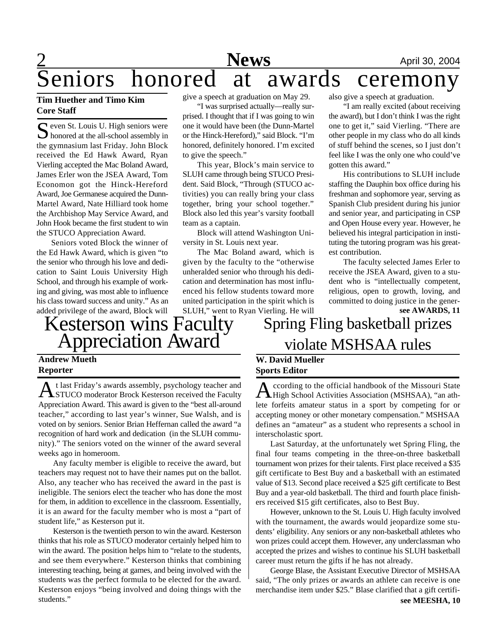# **News** April 30, 2004 eniors honored at awards ceremony

### **Tim Huether and Timo Kim Core Staff**

Seven St. Louis U. High seniors were<br>hood assembly in the all-school assembly in  $\bigcup$  honored at the all-school assembly in the gymnasium last Friday. John Block received the Ed Hawk Award, Ryan Vierling accepted the Mac Boland Award, James Erler won the JSEA Award, Tom Economon got the Hinck-Hereford Award, Joe Germanese acquired the Dunn-Martel Award, Nate Hilliard took home the Archbishop May Service Award, and John Hook became the first student to win the STUCO Appreciation Award.

Seniors voted Block the winner of the Ed Hawk Award, which is given "to the senior who through his love and dedication to Saint Louis University High School, and through his example of working and giving, was most able to influence his class toward success and unity." As an added privilege of the award, Block will

give a speech at graduation on May 29.

"I was surprised actually—really surprised. I thought that if I was going to win one it would have been (the Dunn-Martel or the Hinck-Hereford)," said Block. "I'm honored, definitely honored. I'm excited to give the speech."

This year, Block's main service to SLUH came through being STUCO President. Said Block, "Through (STUCO activities) you can really bring your class together, bring your school together." Block also led this year's varsity football team as a captain.

Block will attend Washington University in St. Louis next year.

The Mac Boland award, which is given by the faculty to the "otherwise unheralded senior who through his dedication and determination has most influenced his fellow students toward more united participation in the spirit which is SLUH," went to Ryan Vierling. He will also give a speech at graduation.

"I am really excited (about receiving the award), but I don't think I was the right one to get it," said Vierling. "There are other people in my class who do all kinds of stuff behind the scenes, so I just don't feel like I was the only one who could've gotten this award."

His contributions to SLUH include staffing the Dauphin box office during his freshman and sophomore year, serving as Spanish Club president during his junior and senior year, and participating in CSP and Open House every year. However, he believed his integral participation in instituting the tutoring program was his greatest contribution.

The faculty selected James Erler to receive the JSEA Award, given to a student who is "intellectually competent, religious, open to growth, loving, and committed to doing justice in the gener-

**see AWARDS, 11**

## Kesterson wins Faculty Appreciation Award

### **Andrew Mueth Reporter**

A t last Friday's awards assembly, psychology teacher and<br>STUCO moderator Brock Kesterson received the Faculty t last Friday's awards assembly, psychology teacher and Appreciation Award. This award is given to the "best all-around teacher," according to last year's winner, Sue Walsh, and is voted on by seniors. Senior Brian Heffernan called the award "a recognition of hard work and dedication (in the SLUH community)." The seniors voted on the winner of the award several weeks ago in homeroom.

Any faculty member is eligible to receive the award, but teachers may request not to have their names put on the ballot. Also, any teacher who has received the award in the past is ineligible. The seniors elect the teacher who has done the most for them, in addition to excellence in the classroom. Essentially, it is an award for the faculty member who is most a "part of student life," as Kesterson put it.

Kesterson is the twentieth person to win the award. Kesterson thinks that his role as STUCO moderator certainly helped him to win the award. The position helps him to "relate to the students, and see them everywhere." Kesterson thinks that combining interesting teaching, being at games, and being involved with the students was the perfect formula to be elected for the award. Kesterson enjoys "being involved and doing things with the students."

Spring Fling basketball prizes violate MSHSAA rules

### **W. David Mueller Sports Editor**

A ccording to the official handbook of the Missouri State<br>High School Activities Association (MSHSAA), "an athccording to the official handbook of the Missouri State lete forfeits amateur status in a sport by competing for or accepting money or other monetary compensation." MSHSAA defines an "amateur" as a student who represents a school in interscholastic sport.

Last Saturday, at the unfortunately wet Spring Fling, the final four teams competing in the three-on-three basketball tournament won prizes for their talents. First place received a \$35 gift certificate to Best Buy and a basketball with an estimated value of \$13. Second place received a \$25 gift certificate to Best Buy and a year-old basketball. The third and fourth place finishers received \$15 gift certificates, also to Best Buy.

However, unknown to the St. Louis U. High faculty involved with the tournament, the awards would jeopardize some students' eligibility. Any seniors or any non-basketball athletes who won prizes could accept them. However, any underclassman who accepted the prizes and wishes to continue his SLUH basketball career must return the gifts if he has not already.

George Blase, the Assistant Executive Director of MSHSAA said, "The only prizes or awards an athlete can receive is one merchandise item under \$25." Blase clarified that a gift certifi-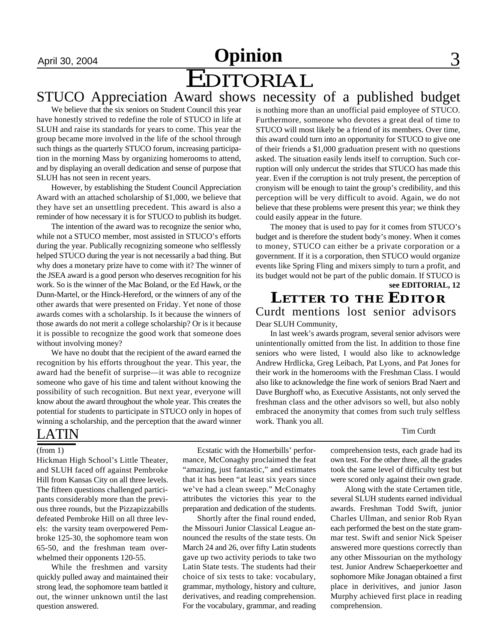## April 30, 2004 **Christian Command Command 3** EDITORIAL **Opinion**

## STUCO Appreciation Award shows necessity of a published budget

We believe that the six seniors on Student Council this year have honestly strived to redefine the role of STUCO in life at SLUH and raise its standards for years to come. This year the group became more involved in the life of the school through such things as the quarterly STUCO forum, increasing participation in the morning Mass by organizing homerooms to attend, and by displaying an overall dedication and sense of purpose that SLUH has not seen in recent years.

However, by establishing the Student Council Appreciation Award with an attached scholarship of \$1,000, we believe that they have set an unsettling precedent. This award is also a reminder of how necessary it is for STUCO to publish its budget.

The intention of the award was to recognize the senior who, while not a STUCO member, most assisted in STUCO's efforts during the year. Publically recognizing someone who selflessly helped STUCO during the year is not necessarily a bad thing. But why does a monetary prize have to come with it? The winner of the JSEA award is a good person who deserves recognition for his work. So is the winner of the Mac Boland, or the Ed Hawk, or the Dunn-Martel, or the Hinck-Hereford, or the winners of any of the other awards that were presented on Friday. Yet none of those awards comes with a scholarship. Is it because the winners of those awards do not merit a college scholarship? Or is it because it is possible to recognize the good work that someone does without involving money?

We have no doubt that the recipient of the award earned the recognition by his efforts throughout the year. This year, the award had the benefit of surprise—it was able to recognize someone who gave of his time and talent without knowing the possibility of such recognition. But next year, everyone will know about the award throughout the whole year. This creates the potential for students to participate in STUCO only in hopes of winning a scholarship, and the perception that the award winner

is nothing more than an unofficial paid employee of STUCO. Furthermore, someone who devotes a great deal of time to STUCO will most likely be a friend of its members. Over time, this award could turn into an opportunity for STUCO to give one of their friends a \$1,000 graduation present with no questions asked. The situation easily lends itself to corruption. Such corruption will only undercut the strides that STUCO has made this year. Even if the corruption is not truly present, the perception of cronyism will be enough to taint the group's credibility, and this perception will be very difficult to avoid. Again, we do not believe that these problems were present this year; we think they could easily appear in the future.

**see EDITORIAL, 12** The money that is used to pay for it comes from STUCO's budget and is therefore the student body's money. When it comes to money, STUCO can either be a private corporation or a government. If it is a corporation, then STUCO would organize events like Spring Fling and mixers simply to turn a profit, and its budget would not be part of the public domain. If STUCO is

## Dear SLUH Community, Curdt mentions lost senior advisors **LETTER TO THE EDITOR**

In last week's awards program, several senior advisors were unintentionally omitted from the list. In addition to those fine seniors who were listed, I would also like to acknowledge Andrew Hrdlicka, Greg Leibach, Pat Lyons, and Pat Jones for their work in the homerooms with the Freshman Class. I would also like to acknowledge the fine work of seniors Brad Naert and Dave Burghoff who, as Executive Assistants, not only served the freshman class and the other advisors so well, but also nobly embraced the anonymity that comes from such truly selfless work. Thank you all.

## **LATIN** Tim Curdt

### (from 1)

Hickman High School's Little Theater, and SLUH faced off against Pembroke Hill from Kansas City on all three levels. The fifteen questions challenged participants considerably more than the previous three rounds, but the Pizzapizzabills defeated Pembroke Hill on all three levels: the varsity team overpowered Pembroke 125-30, the sophomore team won 65-50, and the freshman team overwhelmed their opponents 120-55.

While the freshmen and varsity quickly pulled away and maintained their strong lead, the sophomore team battled it out, the winner unknown until the last question answered.

Ecstatic with the Homerbills' performance, McConaghy proclaimed the feat "amazing, just fantastic," and estimates that it has been "at least six years since we've had a clean sweep." McConaghy attributes the victories this year to the preparation and dedication of the students.

Shortly after the final round ended, the Missouri Junior Classical League announced the results of the state tests. On March 24 and 26, over fifty Latin students gave up two activity periods to take two Latin State tests. The students had their choice of six tests to take: vocabulary, grammar, mythology, history and culture, derivatives, and reading comprehension. For the vocabulary, grammar, and reading comprehension tests, each grade had its own test. For the other three, all the grades took the same level of difficulty test but were scored only against their own grade.

Along with the state Certamen title, several SLUH students earned individual awards. Freshman Todd Swift, junior Charles Ullman, and senior Rob Ryan each performed the best on the state grammar test. Swift and senior Nick Speiser answered more questions correctly than any other Missourian on the mythology test. Junior Andrew Schaeperkoetter and sophomore Mike Jonagan obtained a first place in derivitives, and junior Jason Murphy achieved first place in reading comprehension.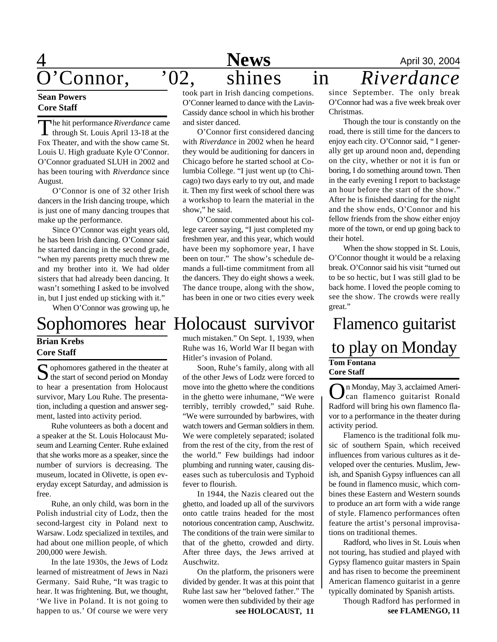## **1 News** April 30, 2004 <sup>7</sup>Connor, <sup>'02</sup>, shines in *Riverdance*

### **Sean Powers Core Staff**

The hit performance *Riverdance* came<br>through St. Louis April 13-18 at the he hit performance *Riverdance* came Fox Theater, and with the show came St. Louis U. High graduate Kyle O'Connor. O'Connor graduated SLUH in 2002 and has been touring with *Riverdance* since August.

O'Connor is one of 32 other Irish dancers in the Irish dancing troupe, which is just one of many dancing troupes that make up the performance.

Since O'Connor was eight years old, he has been Irish dancing. O'Connor said he started dancing in the second grade, "when my parents pretty much threw me and my brother into it. We had older sisters that had already been dancing. It wasn't something I asked to be involved in, but I just ended up sticking with it."

When O'Connor was growing up, he

## Sophomores hear Holocaust survivor

### **Brian Krebs Core Staff**

 $S$  ophomores gathered in the theater at<br>the start of second period on Monday  $\bigcup$  the start of second period on Monday to hear a presentation from Holocaust survivor, Mary Lou Ruhe. The presentation, including a question and answer segment, lasted into activity period.

Ruhe volunteers as both a docent and a speaker at the St. Louis Holocaust Museum and Learning Center. Ruhe exlained that she works more as a speaker, since the number of surviors is decreasing. The museum, located in Olivette, is open everyday except Saturday, and admission is free.

Ruhe, an only child, was born in the Polish industrial city of Lodz, then the second-largest city in Poland next to Warsaw. Lodz specialized in textiles, and had about one million people, of which 200,000 were Jewish.

In the late 1930s, the Jews of Lodz learned of mistreatment of Jews in Nazi Germany. Said Ruhe, "It was tragic to hear. It was frightening. But, we thought, 'We live in Poland. It is not going to happen to us.' Of course we were very

took part in Irish dancing competions. O'Conner learned to dance with the Lavin-Cassidy dance school in which his brother and sister danced.

O'Connor first considered dancing with *Riverdance* in 2002 when he heard they would be auditioning for dancers in Chicago before he started school at Columbia College. "I just went up (to Chicago) two days early to try out, and made it. Then my first week of school there was a workshop to learn the material in the show," he said.

O'Connor commented about his college career saying, "I just completed my freshmen year, and this year, which would have been my sophomore year, I have been on tour." The show's schedule demands a full-time commitment from all the dancers. They do eight shows a week. The dance troupe, along with the show, has been in one or two cities every week

much mistaken." On Sept. 1, 1939, when Ruhe was 16, World War II began with Hitler's invasion of Poland.

Soon, Ruhe's family, along with all of the other Jews of Lodz were forced to move into the ghetto where the conditions in the ghetto were inhumane, "We were terribly, terribly crowded," said Ruhe. "We were surrounded by barbwires, with watch towers and German soldiers in them. We were completely separated; isolated from the rest of the city, from the rest of the world." Few buildings had indoor plumbing and running water, causing diseases such as tuberculosis and Typhoid fever to flourish.

In 1944, the Nazis cleared out the ghetto, and loaded up all of the survivors onto cattle trains headed for the most notorious concentration camp, Auschwitz. The conditions of the train were similar to that of the ghetto, crowded and dirty. After three days, the Jews arrived at Auschwitz.

On the platform, the prisoners were divided by gender. It was at this point that Ruhe last saw her "beloved father." The women were then subdivided by their age

**see HOLOCAUST, 11**

since September. The only break O'Connor had was a five week break over Christmas.

Though the tour is constantly on the road, there is still time for the dancers to enjoy each city. O'Connor said, " I generally get up around noon and, depending on the city, whether or not it is fun or boring, I do something around town. Then in the early evening I report to backstage an hour before the start of the show." After he is finished dancing for the night and the show ends, O'Connor and his fellow friends from the show either enjoy more of the town, or end up going back to their hotel.

When the show stopped in St. Louis, O'Connor thought it would be a relaxing break. O'Connor said his visit "turned out to be so hectic, but I was still glad to be back home. I loved the people coming to see the show. The crowds were really great."

## Flamenco guitarist to play on Monday

**Tom Fontana Core Staff**

On Monday, May 3, acclaimed Ameri-<br>Can flamenco guitarist Ronald n Monday, May 3, acclaimed Ameri-Radford will bring his own flamenco flavor to a performance in the theater during activity period.

Flamenco is the traditional folk music of southern Spain, which received influences from various cultures as it developed over the centuries. Muslim, Jewish, and Spanish Gypsy influences can all be found in flamenco music, which combines these Eastern and Western sounds to produce an art form with a wide range of style. Flamenco performances often feature the artist's personal improvisations on traditional themes.

Radford, who lives in St. Louis when not touring, has studied and played with Gypsy flamenco guitar masters in Spain and has risen to become the preeminent American flamenco guitarist in a genre typically dominated by Spanish artists.

Though Radford has performed in **see FLAMENGO, 11**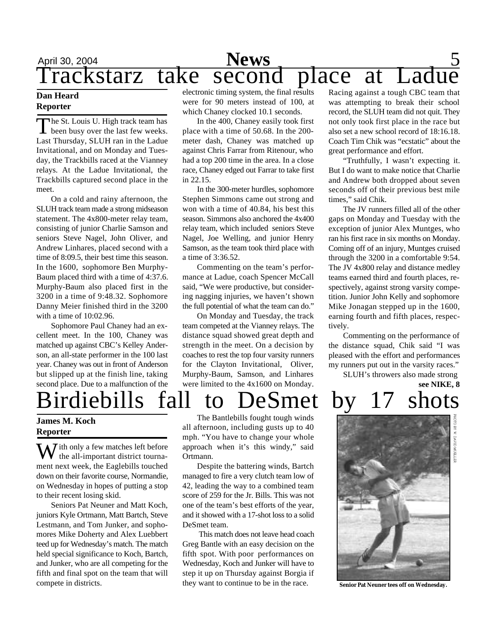## April 30, 2004 **News** 5 April 30, 2004<br>Trackstarz take second place at

### **Dan Heard Reporter**

The St. Louis U. High track team has<br>been busy over the last few weeks. he St. Louis U. High track team has Last Thursday, SLUH ran in the Ladue Invitational, and on Monday and Tuesday, the Trackbills raced at the Vianney relays. At the Ladue Invitational, the Trackbills captured second place in the meet.

On a cold and rainy afternoon, the SLUH track team made a strong midseason statement. The 4x800-meter relay team, consisting of junior Charlie Samson and seniors Steve Nagel, John Oliver, and Andrew Linhares, placed second with a time of 8:09.5, their best time this season. In the 1600, sophomore Ben Murphy-Baum placed third with a time of 4:37.6. Murphy-Baum also placed first in the 3200 in a time of 9:48.32. Sophomore Danny Meier finished third in the 3200 with a time of 10:02.96.

Sophomore Paul Chaney had an excellent meet. In the 100, Chaney was matched up against CBC's Kelley Anderson, an all-state performer in the 100 last year. Chaney was out in front of Anderson but slipped up at the finish line, taking second place. Due to a malfunction of the electronic timing system, the final results were for 90 meters instead of 100, at which Chaney clocked 10.1 seconds.

In the 400, Chaney easily took first place with a time of 50.68. In the 200 meter dash, Chaney was matched up against Chris Farrar from Ritenour, who had a top 200 time in the area. In a close race, Chaney edged out Farrar to take first in 22.15.

In the 300-meter hurdles, sophomore Stephen Simmons came out strong and won with a time of 40.84, his best this season. Simmons also anchored the 4x400 relay team, which included seniors Steve Nagel, Joe Welling, and junior Henry Samson, as the team took third place with a time of 3:36.52.

Commenting on the team's performance at Ladue, coach Spencer McCall said, "We were productive, but considering nagging injuries, we haven't shown the full potential of what the team can do."

On Monday and Tuesday, the track team competed at the Vianney relays. The distance squad showed great depth and strength in the meet. On a decision by coaches to rest the top four varsity runners for the Clayton Invitational, Oliver, Murphy-Baum, Samson, and Linhares were limited to the 4x1600 on Monday.

Racing against a tough CBC team that was attempting to break their school record, the SLUH team did not quit. They not only took first place in the race but also set a new school record of 18:16.18. Coach Tim Chik was "ecstatic" about the great performance and effort.

"Truthfully, I wasn't expecting it. But I do want to make notice that Charlie and Andrew both dropped about seven seconds off of their previous best mile times," said Chik.

The JV runners filled all of the other gaps on Monday and Tuesday with the exception of junior Alex Muntges, who ran his first race in six months on Monday. Coming off of an injury, Muntges cruised through the 3200 in a comfortable 9:54. The JV 4x800 relay and distance medley teams earned third and fourth places, respectively, against strong varsity competition. Junior John Kelly and sophomore Mike Jonagan stepped up in the 1600, earning fourth and fifth places, respectively.

Commenting on the performance of the distance squad, Chik said "I was pleased with the effort and performances my runners put out in the varsity races."

**see NIKE, 8** SLUH's throwers also made strong

# Birdiebills fall to DeSmet by 17 shots

**James M. Koch Reporter**

 $\overline{I}$  *T* ith only a few matches left before the all-important district tournament next week, the Eaglebills touched down on their favorite course, Normandie, on Wednesday in hopes of putting a stop to their recent losing skid.

Seniors Pat Neuner and Matt Koch, juniors Kyle Ortmann, Matt Bartch, Steve Lestmann, and Tom Junker, and sophomores Mike Doherty and Alex Luebbert teed up for Wednesday's match. The match held special significance to Koch, Bartch, and Junker, who are all competing for the fifth and final spot on the team that will compete in districts.

The Bantlebills fought tough winds all afternoon, including gusts up to 40 mph. "You have to change your whole approach when it's this windy," said Ortmann.

Despite the battering winds, Bartch managed to fire a very clutch team low of 42, leading the way to a combined team score of 259 for the Jr. Bills. This was not one of the team's best efforts of the year, and it showed with a 17-shot loss to a solid DeSmet team.

 This match does not leave head coach Greg Bantle with an easy decision on the fifth spot. With poor performances on Wednesday, Koch and Junker will have to step it up on Thursday against Borgia if they want to continue to be in the race.



**Senior Pat Neuner tees off on Wednesday.**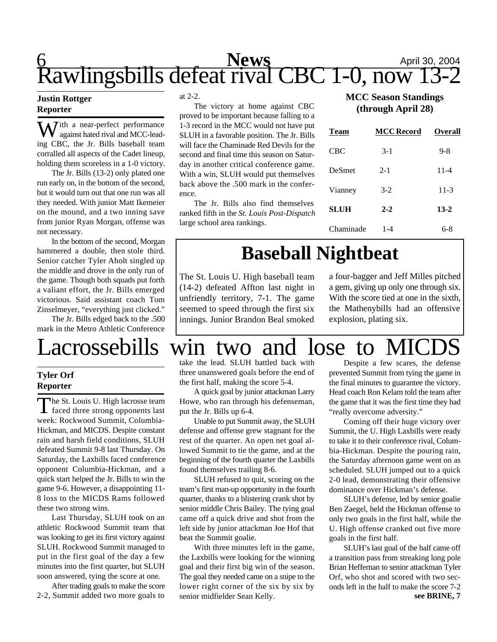## 6 **News** April 30, 2004 Rawlingsbills defeat rival CBC 1-0, now 13-2

### **Justin Rottger Reporter**

 $\sum$  ith a near-perfect performance against hated rival and MCC-leading CBC, the Jr. Bills baseball team corralled all aspects of the Cadet lineup, holding them scoreless in a 1-0 victory.

The Jr. Bills (13-2) only plated one run early on, in the bottom of the second, but it would turn out that one run was all they needed. With junior Matt Ikemeier on the mound, and a two inning save from junior Ryan Morgan, offense was not necessary.

In the bottom of the second, Morgan hammered a double, then stole third. Senior catcher Tyler Aholt singled up the middle and drove in the only run of the game. Though both squads put forth a valiant effort, the Jr. Bills emerged victorious. Said assistant coach Tom Zinselmeyer, "everything just clicked."

The Jr. Bills edged back to the .500 mark in the Metro Athletic Conference

### **Tyler Orf Reporter**

The St. Louis U. High lacrosse team The St. Louis U. High lacrosse team week: Rockwood Summit, Columbia-Hickman, and MICDS. Despite constant rain and harsh field conditions, SLUH defeated Summit 9-8 last Thursday. On Saturday, the Laxbills faced conference opponent Columbia-Hickman, and a quick start helped the Jr. Bills to win the game 9-6. However, a disappointing 11- 8 loss to the MICDS Rams followed these two strong wins.

Last Thursday, SLUH took on an athletic Rockwood Summit team that was looking to get its first victory against SLUH. Rockwood Summit managed to put in the first goal of the day a few minutes into the first quarter, but SLUH soon answered, tying the score at one.

After trading goals to make the score 2-2, Summit added two more goals to at 2-2.

The victory at home against CBC proved to be important because falling to a 1-3 record in the MCC would not have put SLUH in a favorable position. The Jr. Bills will face the Chaminade Red Devils for the second and final time this season on Saturday in another critical conference game. With a win, SLUH would put themselves back above the .500 mark in the conference.

The Jr. Bills also find themselves ranked fifth in the *St. Louis Post-Dispatch* large school area rankings.

### **MCC Season Standings (through April 28)**

| <b>Team</b>   | <b>MCC Record</b> | <b>Overall</b> |
|---------------|-------------------|----------------|
| <b>CBC</b>    | $3-1$             | $9-8$          |
| <b>DeSmet</b> | $2 - 1$           | $11 - 4$       |
| Vianney       | $3-2$             | $11-3$         |
| SLUH          | $2 - 2$           | $13 - 2$       |
| Chaminade     | 1-4               | 6-8            |

## **Baseball Nightbeat**

The St. Louis U. High baseball team (14-2) defeated Affton last night in unfriendly territory, 7-1. The game seemed to speed through the first six innings. Junior Brandon Beal smoked a four-bagger and Jeff Milles pitched a gem, giving up only one through six. With the score tied at one in the sixth, the Mathenybills had an offensive explosion, plating six.

# acrossebills win two and lose to

take the lead. SLUH battled back with three unanswered goals before the end of the first half, making the score 5-4.

A quick goal by junior attackman Larry Howe, who ran through his defenseman, put the Jr. Bills up 6-4.

Unable to put Summit away, the SLUH defense and offense grew stagnant for the rest of the quarter. An open net goal allowed Summit to tie the game, and at the beginning of the fourth quarter the Laxbills found themselves trailing 8-6.

SLUH refused to quit, scoring on the team's first man-up opportunity in the fourth quarter, thanks to a blistering crank shot by senior middle Chris Bailey. The tying goal came off a quick drive and shot from the left side by junior attackman Joe Hof that beat the Summit goalie.

With three minutes left in the game, the Laxbills were looking for the winning goal and their first big win of the season. The goal they needed came on a snipe to the lower right corner of the six by six by senior midfielder Sean Kelly.

Despite a few scares, the defense prevented Summit from tying the game in the final minutes to guarantee the victory. Head coach Ron Kelam told the team after the game that it was the first time they had "really overcome adversity."

Coming off their huge victory over Summit, the U. High Laxbills were ready to take it to their conference rival, Columbia-Hickman. Despite the pouring rain, the Saturday afternoon game went on as scheduled. SLUH jumped out to a quick 2-0 lead, demonstrating their offensive dominance over Hickman's defense.

SLUH's defense, led by senior goalie Ben Zaegel, held the Hickman offense to only two goals in the first half, while the U. High offense cranked out five more goals in the first half.

**see BRINE, 7** SLUH's last goal of the half came off a transition pass from streaking long pole Brian Heffernan to senior attackman Tyler Orf, who shot and scored with two seconds left in the half to make the score 7-2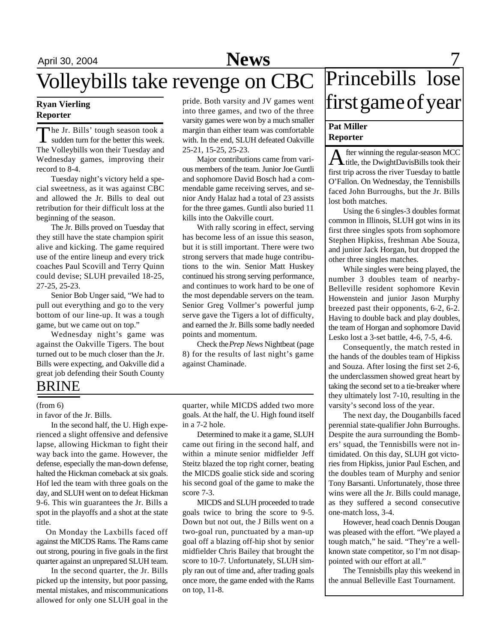## Volleybills take revenge on CBC

### **Ryan Vierling Reporter**

The Jr. Bills' tough season took a sudden turn for the better this week. he Jr. Bills' tough season took a The Volleybills won their Tuesday and Wednesday games, improving their record to 8-4.

Tuesday night's victory held a special sweetness, as it was against CBC and allowed the Jr. Bills to deal out retribution for their difficult loss at the beginning of the season.

The Jr. Bills proved on Tuesday that they still have the state champion spirit alive and kicking. The game required use of the entire lineup and every trick coaches Paul Scovill and Terry Quinn could devise; SLUH prevailed 18-25, 27-25, 25-23.

Senior Bob Unger said, "We had to pull out everything and go to the very bottom of our line-up. It was a tough game, but we came out on top."

Wednesday night's game was against the Oakville Tigers. The bout turned out to be much closer than the Jr. Bills were expecting, and Oakville did a great job defending their South County

## BRINE

### (from 6)

in favor of the Jr. Bills.

In the second half, the U. High experienced a slight offensive and defensive lapse, allowing Hickman to fight their way back into the game. However, the defense, especially the man-down defense, halted the Hickman comeback at six goals. Hof led the team with three goals on the day, and SLUH went on to defeat Hickman 9-6. This win guarantees the Jr. Bills a spot in the playoffs and a shot at the state title.

 On Monday the Laxbills faced off against the MICDS Rams. The Rams came out strong, pouring in five goals in the first quarter against an unprepared SLUH team.

In the second quarter, the Jr. Bills picked up the intensity, but poor passing, mental mistakes, and miscommunications allowed for only one SLUH goal in the

pride. Both varsity and JV games went into three games, and two of the three varsity games were won by a much smaller margin than either team was comfortable with. In the end, SLUH defeated Oakville 25-21, 15-25, 25-23.

Major contributions came from various members of the team. Junior Joe Guntli and sophomore David Bosch had a commendable game receiving serves, and senior Andy Halaz had a total of 23 assists for the three games. Guntli also buried 11 kills into the Oakville court.

With rally scoring in effect, serving has become less of an issue this season, but it is still important. There were two strong servers that made huge contributions to the win. Senior Matt Huskey continued his strong serving performance, and continues to work hard to be one of the most dependable servers on the team. Senior Greg Vollmer's powerful jump serve gave the Tigers a lot of difficulty, and earned the Jr. Bills some badly needed points and momentum.

Check the *Prep News* Nightbeat (page 8) for the results of last night's game against Chaminade.

quarter, while MICDS added two more goals. At the half, the U. High found itself in a 7-2 hole.

Determined to make it a game, SLUH came out firing in the second half, and within a minute senior midfielder Jeff Steitz blazed the top right corner, beating the MICDS goalie stick side and scoring his second goal of the game to make the score 7-3.

MICDS and SLUH proceeded to trade goals twice to bring the score to 9-5. Down but not out, the J Bills went on a two-goal run, punctuated by a man-up goal off a blazing off-hip shot by senior midfielder Chris Bailey that brought the score to 10-7. Unfortunately, SLUH simply ran out of time and, after trading goals once more, the game ended with the Rams on top, 11-8.

# April 30, 2004 **News** 7 Princebills lose first game of year

### **Pat Miller Reporter**

A fter winning the regular-season MCC<br>title, the DwightDavisBills took their fter winning the regular-season MCC first trip across the river Tuesday to battle O'Fallon. On Wednesday, the Tennisbills faced John Burroughs, but the Jr. Bills lost both matches.

Using the 6 singles-3 doubles format common in Illinois, SLUH got wins in its first three singles spots from sophomore Stephen Hipkiss, freshman Abe Souza, and junior Jack Horgan, but dropped the other three singles matches.

While singles were being played, the number 3 doubles team of nearby-Belleville resident sophomore Kevin Howenstein and junior Jason Murphy breezed past their opponents, 6-2, 6-2. Having to double back and play doubles, the team of Horgan and sophomore David Lesko lost a 3-set battle, 4-6, 7-5, 4-6.

Consequently, the match rested in the hands of the doubles team of Hipkiss and Souza. After losing the first set 2-6, the underclassmen showed great heart by taking the second set to a tie-breaker where they ultimately lost 7-10, resulting in the varsity's second loss of the year.

The next day, the Douganbills faced perennial state-qualifier John Burroughs. Despite the aura surrounding the Bombers' squad, the Tennisbills were not intimidated. On this day, SLUH got victories from Hipkiss, junior Paul Eschen, and the doubles team of Murphy and senior Tony Barsanti. Unfortunately, those three wins were all the Jr. Bills could manage, as they suffered a second consecutive one-match loss, 3-4.

However, head coach Dennis Dougan was pleased with the effort. "We played a tough match," he said. "They're a wellknown state competitor, so I'm not disappointed with our effort at all."

The Tennisbills play this weekend in the annual Belleville East Tournament.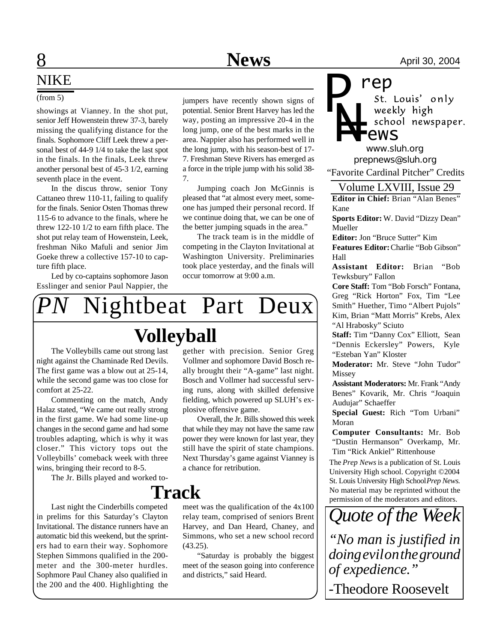# NIKE

### (from 5)

showings at Vianney. In the shot put, senior Jeff Howenstein threw 37-3, barely missing the qualifying distance for the finals. Sophomore Cliff Leek threw a personal best of 44-9 1/4 to take the last spot in the finals. In the finals, Leek threw another personal best of 45-3 1/2, earning seventh place in the event.

In the discus throw, senior Tony Cattaneo threw 110-11, failing to qualify for the finals. Senior Osten Thomas threw 115-6 to advance to the finals, where he threw 122-10 1/2 to earn fifth place. The shot put relay team of Howenstein, Leek, freshman Niko Mafuli and senior Jim Goeke threw a collective 157-10 to capture fifth place.

Led by co-captains sophomore Jason Esslinger and senior Paul Nappier, the

jumpers have recently shown signs of potential. Senior Brent Harvey has led the way, posting an impressive 20-4 in the long jump, one of the best marks in the area. Nappier also has performed well in the long jump, with his season-best of 17- 7. Freshman Steve Rivers has emerged as a force in the triple jump with his solid 38- 7.

Jumping coach Jon McGinnis is pleased that "at almost every meet, someone has jumped their personal record. If we continue doing that, we can be one of the better jumping squads in the area."

The track team is in the middle of competing in the Clayton Invitational at Washington University. Preliminaries took place yesterday, and the finals will occur tomorrow at 9:00 a.m.



# **Volleyball**

The Volleybills came out strong last night against the Chaminade Red Devils. The first game was a blow out at 25-14, while the second game was too close for comfort at 25-22.

Commenting on the match, Andy Halaz stated, "We came out really strong in the first game. We had some line-up changes in the second game and had some troubles adapting, which is why it was closer." This victory tops out the Volleybills' comeback week with three wins, bringing their record to 8-5.

The Jr. Bills played and worked to-

# **Track**

Last night the Cinderbills competed in prelims for this Saturday's Clayton Invitational. The distance runners have an automatic bid this weekend, but the sprinters had to earn their way. Sophomore Stephen Simmons qualified in the 200 meter and the 300-meter hurdles. Sophmore Paul Chaney also qualified in the 200 and the 400. Highlighting the gether with precision. Senior Greg Vollmer and sophomore David Bosch really brought their "A-game" last night. Bosch and Vollmer had successful serving runs, along with skilled defensive fielding, which powered up SLUH's explosive offensive game.

Overall, the Jr. Bills showed this week that while they may not have the same raw power they were known for last year, they still have the spirit of state champions. Next Thursday's game against Vianney is a chance for retribution.

meet was the qualification of the 4x100 relay team, comprised of seniors Brent Harvey, and Dan Heard, Chaney, and Simmons, who set a new school record (43.25).

"Saturday is probably the biggest meet of the season going into conference and districts," said Heard.

*P*

*rep* weekly high *ews*

"Favorite Cardinal Pitcher" Credits *prepnews@sluh.org N= www.sluh.org*

Volume LXVIII, Issue 29

**Editor in Chief:** Brian "Alan Benes" Kane

**Sports Editor:** W. David "Dizzy Dean" Mueller

**Editor:** Jon "Bruce Sutter" Kim

**Features Editor:** Charlie "Bob Gibson" Hall

**Assistant Editor:** Brian "Bob Tewksbury" Fallon

**Core Staff:** Tom "Bob Forsch" Fontana, Greg "Rick Horton" Fox, Tim "Lee Smith" Huether, Timo "Albert Pujols" Kim, Brian "Matt Morris" Krebs, Alex "Al Hrabosky" Sciuto

**Staff:** Tim "Danny Cox" Elliott, Sean "Dennis Eckersley" Powers, Kyle "Esteban Yan" Kloster

**Moderator:** Mr. Steve "John Tudor" Missey

**Assistant Moderators:** Mr. Frank "Andy Benes" Kovarik, Mr. Chris "Joaquin Audujar" Schaeffer

**Special Guest:** Rich "Tom Urbani" Moran

**Computer Consultants:** Mr. Bob "Dustin Hermanson" Overkamp, Mr. Tim "Rick Ankiel" Rittenhouse

The *Prep News* is a publication of St. Louis University High school. Copyright ©2004 St. Louis University High School *Prep News.* No material may be reprinted without the permission of the moderators and editors.



*"No man is justified in doing evil on the ground of expedience."*

-Theodore Roosevelt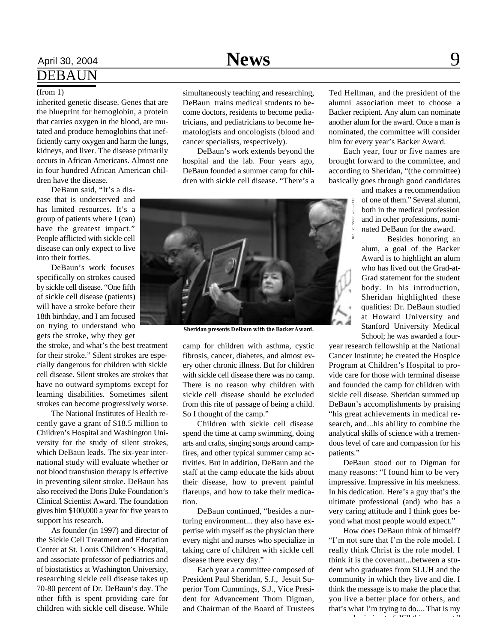# DEBAUN

### (from 1)

inherited genetic disease. Genes that are the blueprint for hemoglobin, a protein that carries oxygen in the blood, are mutated and produce hemoglobins that inefficiently carry oxygen and harm the lungs, kidneys, and liver. The disease primarily occurs in African Americans. Almost one in four hundred African American children have the disease.

DeBaun said, "It's a disease that is underserved and has limited resources. It's a group of patients where I (can) have the greatest impact." People afflicted with sickle cell disease can only expect to live into their forties.

DeBaun's work focuses specifically on strokes caused by sickle cell disease. "One fifth of sickle cell disease (patients) will have a stroke before their 18th birthday, and I am focused on trying to understand who gets the stroke, why they get

the stroke, and what's the best treatment for their stroke." Silent strokes are especially dangerous for children with sickle cell disease. Silent strokes are strokes that have no outward symptoms except for learning disabilities. Sometimes silent strokes can become progressively worse.

The National Institutes of Health recently gave a grant of \$18.5 million to Children's Hospital and Washington University for the study of silent strokes, which DeBaun leads. The six-year international study will evaluate whether or not blood transfusion therapy is effective in preventing silent stroke. DeBaun has also received the Doris Duke Foundation's Clinical Scientist Award. The foundation gives him \$100,000 a year for five years to support his research.

As founder (in 1997) and director of the Sickle Cell Treatment and Education Center at St. Louis Children's Hospital, and associate professor of pediatrics and of biostatistics at Washington University, researching sickle cell disease takes up 70-80 percent of Dr. DeBaun's day. The other fifth is spent providing care for children with sickle cell disease. While

## April 30, 2004 **News** 9

simultaneously teaching and researching, DeBaun trains medical students to become doctors, residents to become pediatricians, and pediatricians to become hematologists and oncologists (blood and cancer specialists, respectively).

DeBaun's work extends beyond the hospital and the lab. Four years ago, DeBaun founded a summer camp for children with sickle cell disease. "There's a



**Sheridan presents DeBaun with the Backer Award.**

camp for children with asthma, cystic fibrosis, cancer, diabetes, and almost every other chronic illness. But for children with sickle cell disease there was no camp. There is no reason why children with sickle cell disease should be excluded from this rite of passage of being a child. So I thought of the camp."

Children with sickle cell disease spend the time at camp swimming, doing arts and crafts, singing songs around campfires, and other typical summer camp activities. But in addition, DeBaun and the staff at the camp educate the kids about their disease, how to prevent painful flareups, and how to take their medication.

DeBaun continued, "besides a nurturing environment... they also have expertise with myself as the physician there every night and nurses who specialize in taking care of children with sickle cell disease there every day."

Each year a committee composed of President Paul Sheridan, S.J., Jesuit Superior Tom Cummings, S.J., Vice President for Advancement Thom Digman, and Chairman of the Board of Trustees

Ted Hellman, and the president of the alumni association meet to choose a Backer recipient. Any alum can nominate another alum for the award. Once a man is nominated, the committee will consider him for every year's Backer Award.

Each year, four or five names are brought forward to the committee, and according to Sheridan, "(the committee) basically goes through good candidates

> and makes a recommendation of one of them." Several alumni, both in the medical profession and in other professions, nominated DeBaun for the award.

Besides honoring an alum, a goal of the Backer Award is to highlight an alum who has lived out the Grad-at-Grad statement for the student body. In his introduction, Sheridan highlighted these qualities: Dr. DeBaun studied at Howard University and Stanford University Medical School; he was awarded a four-

year research fellowship at the National Cancer Institute; he created the Hospice Program at Children's Hospital to provide care for those with terminal disease and founded the camp for children with sickle cell disease. Sheridan summed up DeBaun's accomplishments by praising "his great achievements in medical research, and...his ability to combine the analytical skills of science with a tremendous level of care and compassion for his patients."

DeBaun stood out to Digman for many reasons: "I found him to be very impressive. Impressive in his meekness. In his dedication. Here's a guy that's the ultimate professional (and) who has a very caring attitude and I think goes beyond what most people would expect."

How does DeBaun think of himself? "I'm not sure that I'm the role model. I really think Christ is the role model. I think it is the covenant...between a student who graduates from SLUH and the community in which they live and die. I think the message is to make the place that you live a better place for others, and that's what I'm trying to do.... That is my personal mission to fulfill this covenant."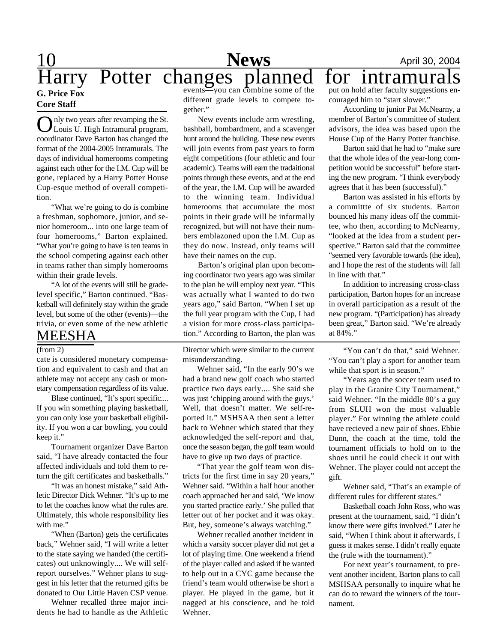# 10 **News** April 30, 2004 Harry Potter changes planned for intramurals

### **G. Price Fox Core Staff**

Only two years after revamping the St.<br>Louis U. High Intramural program, nly two years after revamping the St. coordinator Dave Barton has changed the format of the 2004-2005 Intramurals. The days of individual homerooms competing against each other for the I.M. Cup will be gone, replaced by a Harry Potter House Cup-esque method of overall competition.

"What we're going to do is combine a freshman, sophomore, junior, and senior homeroom... into one large team of four homerooms," Barton explained. "What you're going to have is ten teams in the school competing against each other in teams rather than simply homerooms within their grade levels.

"A lot of the events will still be gradelevel specific," Barton continued. "Basketball will definitely stay within the grade level, but some of the other (events)—the trivia, or even some of the new athletic

## MEESHA

### $($ from 2 $)$

cate is considered monetary compensation and equivalent to cash and that an athlete may not accept any cash or monetary compensation regardless of its value.

Blase continued, "It's sport specific.... If you win something playing basketball, you can only lose your basketball eligibility. If you won a car bowling, you could keep it."

Tournament organizer Dave Barton said, "I have already contacted the four affected individuals and told them to return the gift certificates and basketballs."

"It was an honest mistake," said Athletic Director Dick Wehner. "It's up to me to let the coaches know what the rules are. Ultimately, this whole responsibility lies with me."

"When (Barton) gets the certificates back," Wehner said, "I will write a letter to the state saying we handed (the certificates) out unknowingly.... We will selfreport ourselves." Wehner plans to suggest in his letter that the returned gifts be donated to Our Little Haven CSP venue.

Wehner recalled three major incidents he had to handle as the Athletic

different grade levels to compete together."

New events include arm wrestling, bashball, bombardment, and a scavenger hunt around the building. These new events will join events from past years to form eight competitions (four athletic and four academic). Teams will earn the tradaitional points through these events, and at the end of the year, the I.M. Cup will be awarded to the winning team. Individual homerooms that accumulate the most points in their grade will be informally recognized, but will not have their numbers emblazoned upon the I.M. Cup as they do now. Instead, only teams will have their names on the cup.

Barton's original plan upon becoming coordinator two years ago was similar to the plan he will employ next year. "This was actually what I wanted to do two years ago," said Barton. "When I set up the full year program with the Cup, I had a vision for more cross-class participation." According to Barton, the plan was

Director which were similar to the current misunderstanding.

Wehner said, "In the early 90's we had a brand new golf coach who started practice two days early.... She said she was just 'chipping around with the guys.' Well, that doesn't matter. We self-reported it." MSHSAA then sent a letter back to Wehner which stated that they acknowledged the self-report and that, once the season began, the golf team would have to give up two days of practice.

"That year the golf team won districts for the first time in say 20 years," Wehner said. "Within a half hour another coach approached her and said, 'We know you started practice early.' She pulled that letter out of her pocket and it was okay. But, hey, someone's always watching."

Wehner recalled another incident in which a varsity soccer player did not get a lot of playing time. One weekend a friend of the player called and asked if he wanted to help out in a CYC game because the friend's team would otherwise be short a player. He played in the game, but it nagged at his conscience, and he told Wehner.

put on hold after faculty suggestions encouraged him to "start slower."

According to junior Pat McNearny, a member of Barton's committee of student advisors, the idea was based upon the House Cup of the Harry Potter franchise.

Barton said that he had to "make sure that the whole idea of the year-long competition would be successful" before starting the new program. "I think everybody agrees that it has been (successful)."

Barton was assisted in his efforts by a committte of six students. Barton bounced his many ideas off the committee, who then, according to McNearny, "looked at the idea from a student perspective." Barton said that the committee "seemed very favorable towards (the idea), and I hope the rest of the students will fall in line with that."

In addition to increasing cross-class participation, Barton hopes for an increase in overall participation as a result of the new program. "(Participation) has already been great," Barton said. "We're already at 84%."

"You can't do that," said Wehner. "You can't play a sport for another team while that sport is in season."

"Years ago the soccer team used to play in the Granite City Tournament," said Wehner. "In the middle 80's a guy from SLUH won the most valuable player." For winning the athlete could have recieved a new pair of shoes. Ebbie Dunn, the coach at the time, told the tournament officials to hold on to the shoes until he could check it out with Wehner. The player could not accept the gift.

Wehner said, "That's an example of different rules for different states."

Basketball coach John Ross, who was present at the tournament, said, "I didn't know there were gifts involved." Later he said, "When I think about it afterwards, I guess it makes sense. I didn't really equate the (rule with the tournament)."

For next year's tournament, to prevent another incident, Barton plans to call MSHSAA personally to inquire what he can do to reward the winners of the tournament.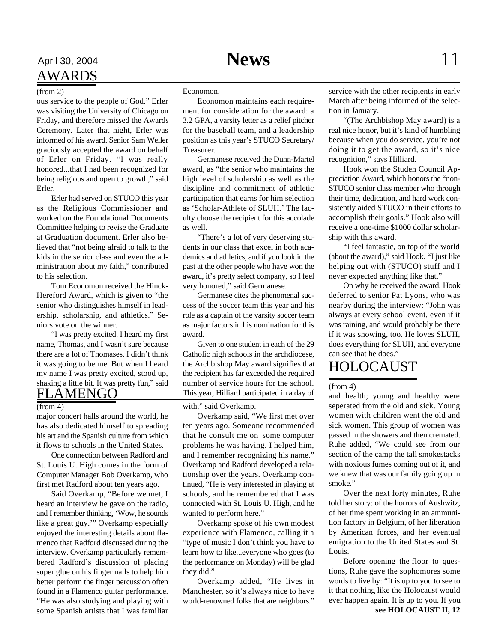## AWARDS

(from 2) ous service to the people of God." Erler was visiting the University of Chicago on Friday, and therefore missed the Awards Ceremony. Later that night, Erler was informed of his award. Senior Sam Weller graciously accepted the award on behalf of Erler on Friday. "I was really honored...that I had been recognized for being religious and open to growth," said Erler.

Erler had served on STUCO this year as the Religious Commissioner and worked on the Foundational Documents Committee helping to revise the Graduate at Graduation document. Erler also believed that "not being afraid to talk to the kids in the senior class and even the administration about my faith," contributed to his selection.

Tom Economon received the Hinck-Hereford Award, which is given to "the senior who distinguishes himself in leadership, scholarship, and athletics." Seniors vote on the winner.

"I was pretty excited. I heard my first name, Thomas, and I wasn't sure because there are a lot of Thomases. I didn't think it was going to be me. But when I heard my name I was pretty excited, stood up, shaking a little bit. It was pretty fun," said FLAMENGO

major concert halls around the world, he has also dedicated himself to spreading his art and the Spanish culture from which it flows to schools in the United States.

One connection between Radford and St. Louis U. High comes in the form of Computer Manager Bob Overkamp, who first met Radford about ten years ago.

Said Overkamp, "Before we met, I heard an interview he gave on the radio, and I remember thinking, 'Wow, he sounds like a great guy.'" Overkamp especially enjoyed the interesting details about flamenco that Radford discussed during the interview. Overkamp particularly remembered Radford's discussion of placing super glue on his finger nails to help him better perform the finger percussion often found in a Flamenco guitar performance. "He was also studying and playing with some Spanish artists that I was familiar

### Economon.

Economon maintains each requirement for consideration for the award: a 3.2 GPA, a varsity letter as a relief pitcher for the baseball team, and a leadership position as this year's STUCO Secretary/ Treasurer.

Germanese received the Dunn-Martel award, as "the senior who maintains the high level of scholarship as well as the discipline and commitment of athletic participation that earns for him selection as 'Scholar-Athlete of SLUH.' The faculty choose the recipient for this accolade as well.

"There's a lot of very deserving students in our class that excel in both academics and athletics, and if you look in the past at the other people who have won the award, it's pretty select company, so I feel very honored," said Germanese.

Germanese cites the phenomenal success of the soccer team this year and his role as a captain of the varsity soccer team as major factors in his nomination for this award.

Given to one student in each of the 29 Catholic high schools in the archdiocese, the Archbishop May award signifies that the recipient has far exceeded the required number of service hours for the school. This year, Hilliard participated in a day of

(from 4) with," said Overkamp.

Overkamp said, "We first met over ten years ago. Someone recommended that he consult me on some computer problems he was having. I helped him, and I remember recognizing his name." Overkamp and Radford developed a relationship over the years. Overkamp continued, "He is very interested in playing at schools, and he remembered that I was connected with St. Louis U. High, and he wanted to perform here."

Overkamp spoke of his own modest experience with Flamenco, calling it a "type of music I don't think you have to learn how to like...everyone who goes (to the performance on Monday) will be glad they did."

Overkamp added, "He lives in Manchester, so it's always nice to have world-renowned folks that are neighbors." service with the other recipients in early March after being informed of the selection in January.

"(The Archbishop May award) is a real nice honor, but it's kind of humbling because when you do service, you're not doing it to get the award, so it's nice recognition," says Hilliard.

Hook won the Studen Council Appreciation Award, which honors the "non-STUCO senior class member who through their time, dedication, and hard work consistently aided STUCO in their efforts to accomplish their goals." Hook also will receive a one-time \$1000 dollar scholarship with this award.

"I feel fantastic, on top of the world (about the award)," said Hook. "I just like helping out with (STUCO) stuff and I never expected anything like that."

On why he received the award, Hook deferred to senior Pat Lyons, who was nearby during the interview: "John was always at every school event, even if it was raining, and would probably be there if it was snowing, too. He loves SLUH, does everything for SLUH, and everyone can see that he does."

## HOLOCAUST

### (from 4)

and health; young and healthy were seperated from the old and sick. Young women with children went the old and sick women. This group of women was gassed in the showers and then cremated. Ruhe added, "We could see from our section of the camp the tall smokestacks with noxious fumes coming out of it, and we knew that was our family going up in smoke."

Over the next forty minutes, Ruhe told her story: of the horrors of Aushwitz, of her time spent working in an ammunition factory in Belgium, of her liberation by American forces, and her eventual emigration to the United States and St. Louis.

Before opening the floor to questions, Ruhe gave the sophomores some words to live by: "It is up to you to see to it that nothing like the Holocaust would ever happen again. It is up to you. If you **see HOLOCAUST II, 12**